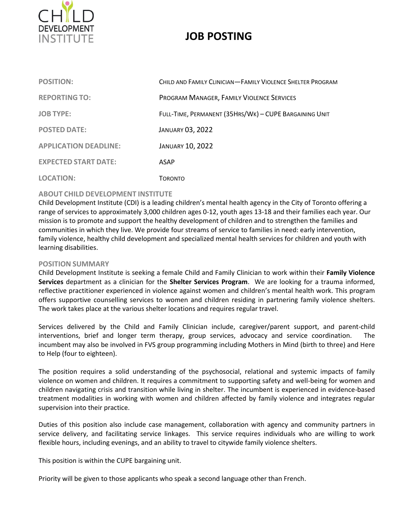

# **JOB POSTING**

| <b>POSITION:</b>             | CHILD AND FAMILY CLINICIAN-FAMILY VIOLENCE SHELTER PROGRAM |
|------------------------------|------------------------------------------------------------|
| <b>REPORTING TO:</b>         | PROGRAM MANAGER, FAMILY VIOLENCE SERVICES                  |
| <b>JOB TYPE:</b>             | FULL-TIME, PERMANENT (35HRS/WK) - CUPE BARGAINING UNIT     |
| <b>POSTED DATE:</b>          | <b>JANUARY 03, 2022</b>                                    |
| <b>APPLICATION DEADLINE:</b> | <b>JANUARY 10, 2022</b>                                    |
| <b>EXPECTED START DATE:</b>  | ASAP                                                       |
| <b>LOCATION:</b>             | <b>TORONTO</b>                                             |

## **ABOUT CHILD DEVELOPMENT INSTITUTE**

Child Development Institute (CDI) is a leading children's mental health agency in the City of Toronto offering a range of services to approximately 3,000 children ages 0‐12, youth ages 13-18 and their families each year. Our mission is to promote and support the healthy development of children and to strengthen the families and communities in which they live. We provide four streams of service to families in need: early intervention, family violence, healthy child development and specialized mental health services for children and youth with learning disabilities.

## **POSITION SUMMARY**

Child Development Institute is seeking a female Child and Family Clinician to work within their **Family Violence Services** department as a clinician for the **Shelter Services Program**. We are looking for a trauma informed, reflective practitioner experienced in violence against women and children's mental health work. This program offers supportive counselling services to women and children residing in partnering family violence shelters. The work takes place at the various shelter locations and requires regular travel.

Services delivered by the Child and Family Clinician include, caregiver/parent support, and parent-child interventions, brief and longer term therapy, group services, advocacy and service coordination. The incumbent may also be involved in FVS group programming including Mothers in Mind (birth to three) and Here to Help (four to eighteen).

The position requires a solid understanding of the psychosocial, relational and systemic impacts of family violence on women and children. It requires a commitment to supporting safety and well-being for women and children navigating crisis and transition while living in shelter. The incumbent is experienced in evidence-based treatment modalities in working with women and children affected by family violence and integrates regular supervision into their practice.

Duties of this position also include case management, collaboration with agency and community partners in service delivery, and facilitating service linkages. This service requires individuals who are willing to work flexible hours, including evenings, and an ability to travel to citywide family violence shelters.

This position is within the CUPE bargaining unit.

Priority will be given to those applicants who speak a second language other than French.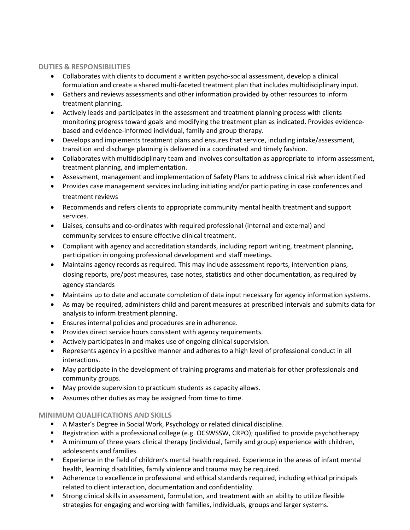# **DUTIES & RESPONSIBILITIES**

- Collaborates with clients to document a written psycho-social assessment, develop a clinical formulation and create a shared multi-faceted treatment plan that includes multidisciplinary input.
- Gathers and reviews assessments and other information provided by other resources to inform treatment planning.
- Actively leads and participates in the assessment and treatment planning process with clients monitoring progress toward goals and modifying the treatment plan as indicated. Provides evidencebased and evidence-informed individual, family and group therapy.
- Develops and implements treatment plans and ensures that service, including intake/assessment, transition and discharge planning is delivered in a coordinated and timely fashion.
- Collaborates with multidisciplinary team and involves consultation as appropriate to inform assessment, treatment planning, and implementation.
- Assessment, management and implementation of Safety Plans to address clinical risk when identified
- Provides case management services including initiating and/or participating in case conferences and treatment reviews
- Recommends and refers clients to appropriate community mental health treatment and support services.
- Liaises, consults and co-ordinates with required professional (internal and external) and community services to ensure effective clinical treatment.
- Compliant with agency and accreditation standards, including report writing, treatment planning, participation in ongoing professional development and staff meetings.
- Maintains agency records as required. This may include assessment reports, intervention plans, closing reports, pre/post measures, case notes, statistics and other documentation, as required by agency standards
- Maintains up to date and accurate completion of data input necessary for agency information systems.
- As may be required, administers child and parent measures at prescribed intervals and submits data for analysis to inform treatment planning.
- Ensures internal policies and procedures are in adherence.
- Provides direct service hours consistent with agency requirements.
- Actively participates in and makes use of ongoing clinical supervision.
- Represents agency in a positive manner and adheres to a high level of professional conduct in all interactions.
- May participate in the development of training programs and materials for other professionals and community groups.
- May provide supervision to practicum students as capacity allows.
- Assumes other duties as may be assigned from time to time.

# **MINIMUM QUALIFICATIONS AND SKILLS**

- A Master's Degree in Social Work, Psychology or related clinical discipline.
- Registration with a professional college (e.g. OCSWSSW, CRPO); qualified to provide psychotherapy
- A minimum of three years clinical therapy (individual, family and group) experience with children, adolescents and families.
- Experience in the field of children's mental health required. Experience in the areas of infant mental health, learning disabilities, family violence and trauma may be required.
- Adherence to excellence in professional and ethical standards required, including ethical principals related to client interaction, documentation and confidentiality.
- Strong clinical skills in assessment, formulation, and treatment with an ability to utilize flexible strategies for engaging and working with families, individuals, groups and larger systems.